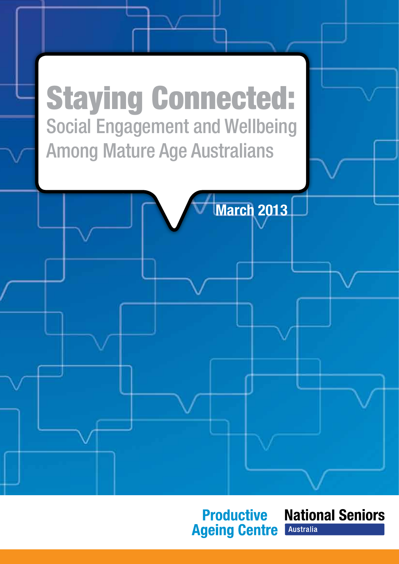

## **Productive Ageing Centre**

**National Seniors Australia**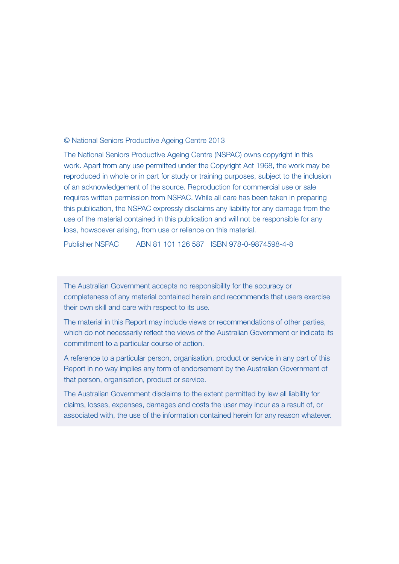#### © National Seniors Productive Ageing Centre 2013

The National Seniors Productive Ageing Centre (NSPAC) owns copyright in this work. Apart from any use permitted under the Copyright Act 1968, the work may be reproduced in whole or in part for study or training purposes, subject to the inclusion of an acknowledgement of the source. Reproduction for commercial use or sale requires written permission from NSPAC. While all care has been taken in preparing this publication, the NSPAC expressly disclaims any liability for any damage from the use of the material contained in this publication and will not be responsible for any loss, howsoever arising, from use or reliance on this material.

Publisher NSPAC ABN 81 101 126 587 ISBN 978-0-9874598-4-8

The Australian Government accepts no responsibility for the accuracy or completeness of any material contained herein and recommends that users exercise their own skill and care with respect to its use.

The material in this Report may include views or recommendations of other parties, which do not necessarily reflect the views of the Australian Government or indicate its commitment to a particular course of action.

A reference to a particular person, organisation, product or service in any part of this Report in no way implies any form of endorsement by the Australian Government of that person, organisation, product or service.

The Australian Government disclaims to the extent permitted by law all liability for claims, losses, expenses, damages and costs the user may incur as a result of, or associated with, the use of the information contained herein for any reason whatever.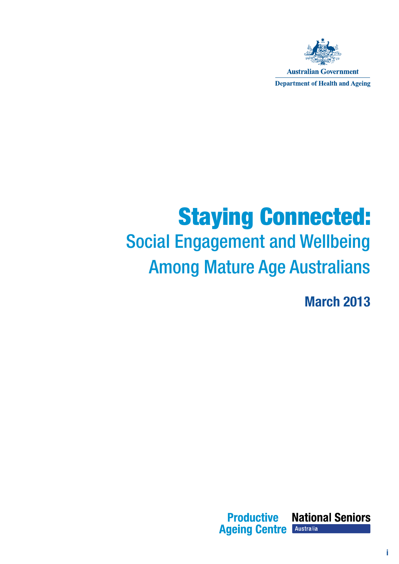

**Department of Health and Ageing** 

## Staying Connected: Social Engagement and Wellbeing Among Mature Age Australians

March 2013

**National Seniors Productive Ageing Centre** Australia

i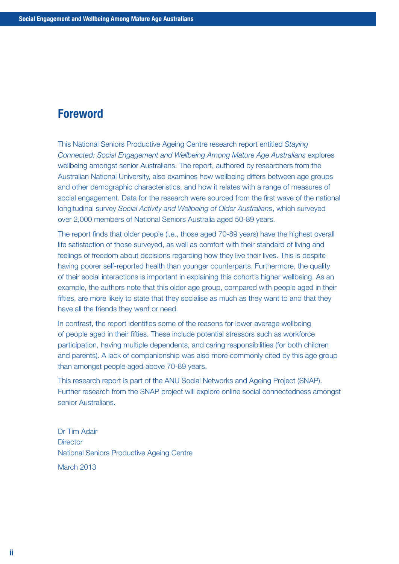## Foreword

This National Seniors Productive Ageing Centre research report entitled *Staying Connected: Social Engagement and Wellbeing Among Mature Age Australians* explores wellbeing amongst senior Australians. The report, authored by researchers from the Australian National University, also examines how wellbeing differs between age groups and other demographic characteristics, and how it relates with a range of measures of social engagement. Data for the research were sourced from the first wave of the national longitudinal survey *Social Activity and Wellbeing of Older Australians*, which surveyed over 2,000 members of National Seniors Australia aged 50-89 years.

The report finds that older people (i.e., those aged 70-89 years) have the highest overall life satisfaction of those surveyed, as well as comfort with their standard of living and feelings of freedom about decisions regarding how they live their lives. This is despite having poorer self-reported health than younger counterparts. Furthermore, the quality of their social interactions is important in explaining this cohort's higher wellbeing. As an example, the authors note that this older age group, compared with people aged in their fifties, are more likely to state that they socialise as much as they want to and that they have all the friends they want or need.

In contrast, the report identifies some of the reasons for lower average wellbeing of people aged in their fifties. These include potential stressors such as workforce participation, having multiple dependents, and caring responsibilities (for both children and parents). A lack of companionship was also more commonly cited by this age group than amongst people aged above 70-89 years.

This research report is part of the ANU Social Networks and Ageing Project (SNAP). Further research from the SNAP project will explore online social connectedness amongst senior Australians.

Dr Tim Adair **Director** National Seniors Productive Ageing Centre March 2013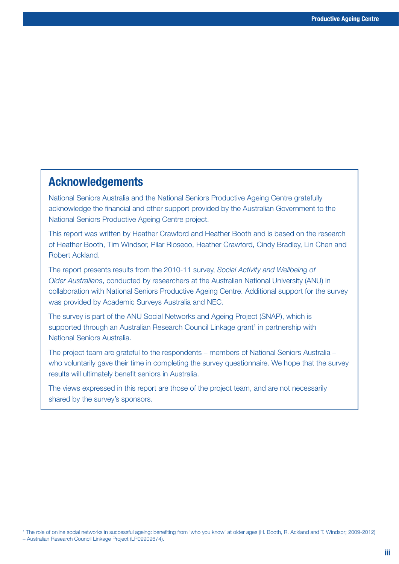### Acknowledgements

National Seniors Australia and the National Seniors Productive Ageing Centre gratefully acknowledge the financial and other support provided by the Australian Government to the National Seniors Productive Ageing Centre project.

This report was written by Heather Crawford and Heather Booth and is based on the research of Heather Booth, Tim Windsor, Pilar Rioseco, Heather Crawford, Cindy Bradley, Lin Chen and Robert Ackland.

The report presents results from the 2010-11 survey, *Social Activity and Wellbeing of Older Australians*, conducted by researchers at the Australian National University (ANU) in collaboration with National Seniors Productive Ageing Centre. Additional support for the survey was provided by Academic Surveys Australia and NEC.

The survey is part of the ANU Social Networks and Ageing Project (SNAP), which is supported through an Australian Research Council Linkage grant<sup>1</sup> in partnership with National Seniors Australia.

The project team are grateful to the respondents – members of National Seniors Australia – who voluntarily gave their time in completing the survey questionnaire. We hope that the survey results will ultimately benefit seniors in Australia.

The views expressed in this report are those of the project team, and are not necessarily shared by the survey's sponsors.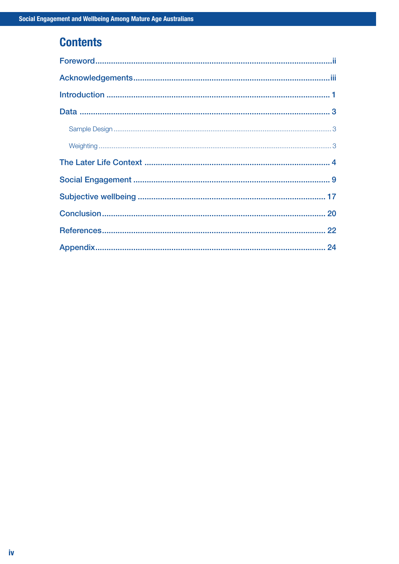## **Contents**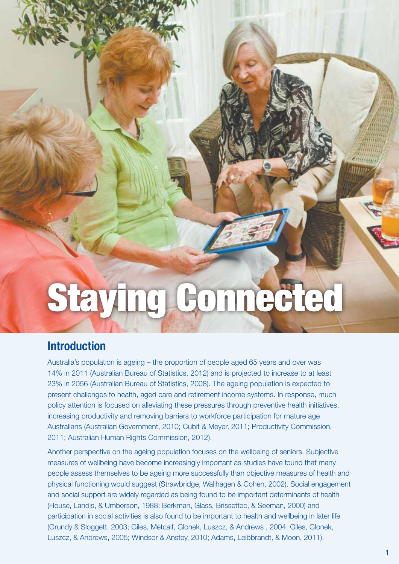# Staying Connected

## Introduction

Australia's population is ageing – the proportion of people aged 65 years and over was 14% in 2011 (Australian Bureau of Statistics, 2012) and is projected to increase to at least 23% in 2056 (Australian Bureau of Statistics, 2008). The ageing population is expected to present challenges to health, aged care and retirement income systems. In response, much policy attention is focused on alleviating these pressures through preventive health initiatives, increasing productivity and removing barriers to workforce participation for mature age Australians (Australian Government, 2010; Cubit & Meyer, 2011; Productivity Commission, 2011; Australian Human Rights Commission, 2012).

Another perspective on the ageing population focuses on the wellbeing of seniors. Subjective measures of wellbeing have become increasingly important as studies have found that many people assess themselves to be ageing more successfully than objective measures of health and physical functioning would suggest (Strawbridge, Wallhagen & Cohen, 2002). Social engagement and social support are widely regarded as being found to be important determinants of health (House, Landis, & Umberson, 1988; Berkman, Glass, Brissettec, & Seeman, 2000) and participation in social activities is also found to be important to health and wellbeing in later life (Grundy & Sloggett, 2003; Giles, Metcalf, Glonek, Luszcz, & Andrews , 2004; Giles, Glonek, Luszcz, & Andrews, 2005; Windsor & Anstey, 2010; Adams, Leibbrandt, & Moon, 2011).

Productive Ageing Centre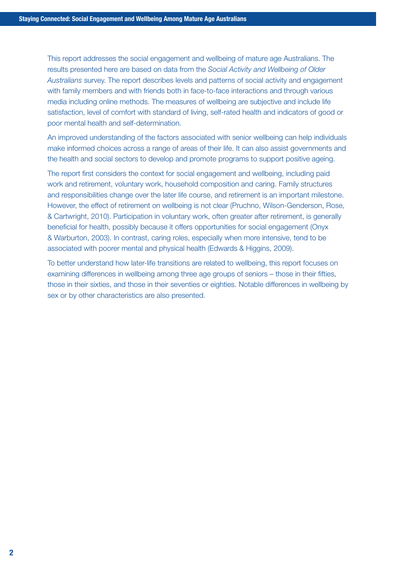This report addresses the social engagement and wellbeing of mature age Australians. The results presented here are based on data from the *Social Activity and Wellbeing of Older Australians* survey. The report describes levels and patterns of social activity and engagement with family members and with friends both in face-to-face interactions and through various media including online methods. The measures of wellbeing are subjective and include life satisfaction, level of comfort with standard of living, self-rated health and indicators of good or poor mental health and self-determination.

An improved understanding of the factors associated with senior wellbeing can help individuals make informed choices across a range of areas of their life. It can also assist governments and the health and social sectors to develop and promote programs to support positive ageing.

The report first considers the context for social engagement and wellbeing, including paid work and retirement, voluntary work, household composition and caring. Family structures and responsibilities change over the later life course, and retirement is an important milestone. However, the effect of retirement on wellbeing is not clear (Pruchno, Wilson-Genderson, Rose, & Cartwright, 2010). Participation in voluntary work, often greater after retirement, is generally beneficial for health, possibly because it offers opportunities for social engagement (Onyx & Warburton, 2003). In contrast, caring roles, especially when more intensive, tend to be associated with poorer mental and physical health (Edwards & Higgins, 2009).

To better understand how later-life transitions are related to wellbeing, this report focuses on examining differences in wellbeing among three age groups of seniors – those in their fifties, those in their sixties, and those in their seventies or eighties. Notable differences in wellbeing by sex or by other characteristics are also presented.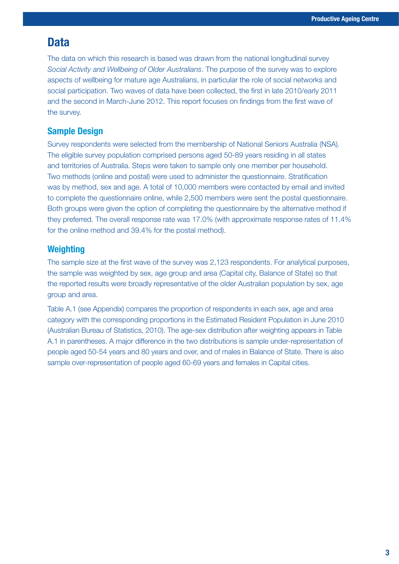## **Data**

The data on which this research is based was drawn from the national longitudinal survey *Social Activity and Wellbeing of Older Australians*. The purpose of the survey was to explore aspects of wellbeing for mature age Australians, in particular the role of social networks and social participation. Two waves of data have been collected, the first in late 2010/early 2011 and the second in March-June 2012. This report focuses on findings from the first wave of the survey.

#### Sample Design

Survey respondents were selected from the membership of National Seniors Australia (NSA). The eligible survey population comprised persons aged 50-89 years residing in all states and territories of Australia. Steps were taken to sample only one member per household. Two methods (online and postal) were used to administer the questionnaire. Stratification was by method, sex and age. A total of 10,000 members were contacted by email and invited to complete the questionnaire online, while 2,500 members were sent the postal questionnaire. Both groups were given the option of completing the questionnaire by the alternative method if they preferred. The overall response rate was 17.0% (with approximate response rates of 11.4% for the online method and 39.4% for the postal method).

#### **Weighting**

The sample size at the first wave of the survey was 2,123 respondents. For analytical purposes, the sample was weighted by sex, age group and area (Capital city, Balance of State) so that the reported results were broadly representative of the older Australian population by sex, age group and area.

Table A.1 (see Appendix) compares the proportion of respondents in each sex, age and area category with the corresponding proportions in the Estimated Resident Population in June 2010 (Australian Bureau of Statistics, 2010). The age-sex distribution after weighting appears in Table A.1 in parentheses. A major difference in the two distributions is sample under-representation of people aged 50-54 years and 80 years and over, and of males in Balance of State. There is also sample over-representation of people aged 60-69 years and females in Capital cities.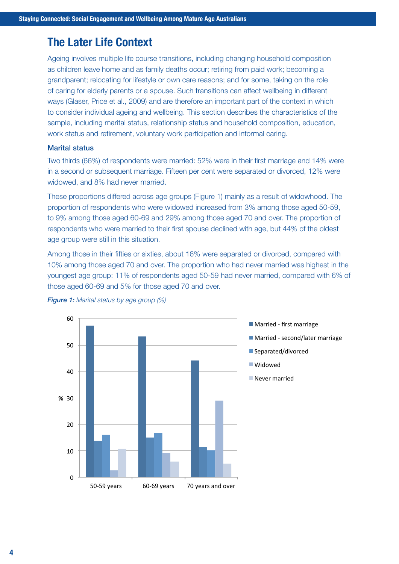## The Later Life Context

Ageing involves multiple life course transitions, including changing household composition as children leave home and as family deaths occur; retiring from paid work; becoming a grandparent; relocating for lifestyle or own care reasons; and for some, taking on the role of caring for elderly parents or a spouse. Such transitions can affect wellbeing in different ways (Glaser, Price et al., 2009) and are therefore an important part of the context in which to consider individual ageing and wellbeing. This section describes the characteristics of the sample, including marital status, relationship status and household composition, education, work status and retirement, voluntary work participation and informal caring.

#### Marital status

Two thirds (66%) of respondents were married: 52% were in their first marriage and 14% were in a second or subsequent marriage. Fifteen per cent were separated or divorced, 12% were widowed, and 8% had never married.

These proportions differed across age groups (Figure 1) mainly as a result of widowhood. The proportion of respondents who were widowed increased from 3% among those aged 50-59, to 9% among those aged 60-69 and 29% among those aged 70 and over. The proportion of respondents who were married to their first spouse declined with age, but 44% of the oldest age group were still in this situation.

Among those in their fifties or sixties, about 16% were separated or divorced, compared with 10% among those aged 70 and over. The proportion who had never married was highest in the youngest age group: 11% of respondents aged 50-59 had never married, compared with 6% of those aged 60-69 and 5% for those aged 70 and over.



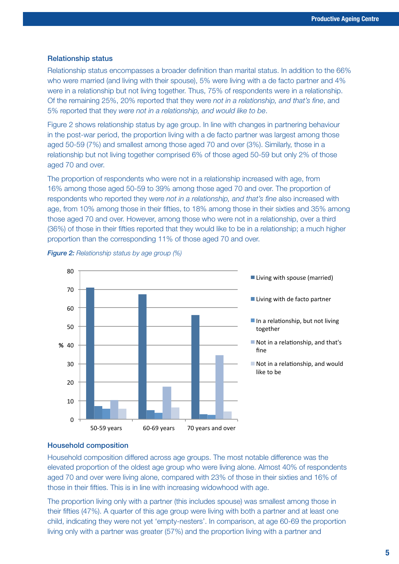#### Relationship status

Relationship status encompasses a broader definition than marital status. In addition to the 66% who were married (and living with their spouse), 5% were living with a de facto partner and 4% were in a relationship but not living together. Thus, 75% of respondents were in a relationship. Of the remaining 25%, 20% reported that they were *not in a relationship, and that's fine*, and 5% reported that they *were not in a relationship, and would like to be*.

Figure 2 shows relationship status by age group. In line with changes in partnering behaviour in the post-war period, the proportion living with a de facto partner was largest among those aged 50-59 (7%) and smallest among those aged 70 and over (3%). Similarly, those in a relationship but not living together comprised 6% of those aged 50-59 but only 2% of those aged 70 and over.

The proportion of respondents who were not in a relationship increased with age, from 16% among those aged 50-59 to 39% among those aged 70 and over. The proportion of respondents who reported they were *not in a relationship, and that's fine* also increased with age, from 10% among those in their fifties, to 18% among those in their sixties and 35% among those aged 70 and over. However, among those who were not in a relationship, over a third (36%) of those in their fifties reported that they would like to be in a relationship; a much higher proportion than the corresponding 11% of those aged 70 and over.





#### Household composition

Household composition differed across age groups. The most notable difference was the elevated proportion of the oldest age group who were living alone. Almost 40% of respondents aged 70 and over were living alone, compared with 23% of those in their sixties and 16% of those in their fifties. This is in line with increasing widowhood with age.

The proportion living only with a partner (this includes spouse) was smallest among those in their fifties (47%). A quarter of this age group were living with both a partner and at least one child, indicating they were not yet 'empty-nesters'. In comparison, at age 60-69 the proportion living only with a partner was greater (57%) and the proportion living with a partner and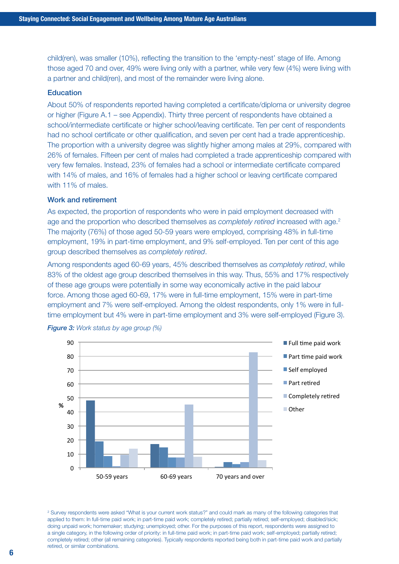child(ren), was smaller (10%), reflecting the transition to the 'empty-nest' stage of life. Among those aged 70 and over, 49% were living only with a partner, while very few (4%) were living with a partner and child(ren), and most of the remainder were living alone.

#### Education

About 50% of respondents reported having completed a certificate/diploma or university degree or higher (Figure A.1 – see Appendix). Thirty three percent of respondents have obtained a school/intermediate certificate or higher school/leaving certificate. Ten per cent of respondents had no school certificate or other qualification, and seven per cent had a trade apprenticeship. The proportion with a university degree was slightly higher among males at 29%, compared with 26% of females. Fifteen per cent of males had completed a trade apprenticeship compared with very few females. Instead, 23% of females had a school or intermediate certificate compared with 14% of males, and 16% of females had a higher school or leaving certificate compared with 11% of males.

#### Work and retirement

As expected, the proportion of respondents who were in paid employment decreased with age and the proportion who described themselves as *completely retired* increased with age.2 The majority (76%) of those aged 50-59 years were employed, comprising 48% in full-time employment, 19% in part-time employment, and 9% self-employed. Ten per cent of this age group described themselves as *completely retired*.

Among respondents aged 60-69 years, 45% described themselves as *completely retired*, while 83% of the oldest age group described themselves in this way. Thus, 55% and 17% respectively of these age groups were potentially in some way economically active in the paid labour force. Among those aged 60-69, 17% were in full-time employment, 15% were in part-time employment and 7% were self-employed. Among the oldest respondents, only 1% were in fulltime employment but 4% were in part-time employment and 3% were self-employed (Figure 3).





2 Survey respondents were asked "What is your current work status?" and could mark as many of the following categories that applied to them: In full-time paid work; in part-time paid work; completely retired; partially retired; self-employed; disabled/sick; doing unpaid work; homemaker; studying; unemployed; other. For the purposes of this report, respondents were assigned to a single category, in the following order of priority: in full-time paid work; in part-time paid work; self-employed; partially retired; completely retired; other (all remaining categories). Typically respondents reported being both in part-time paid work and partially retired, or similar combinations.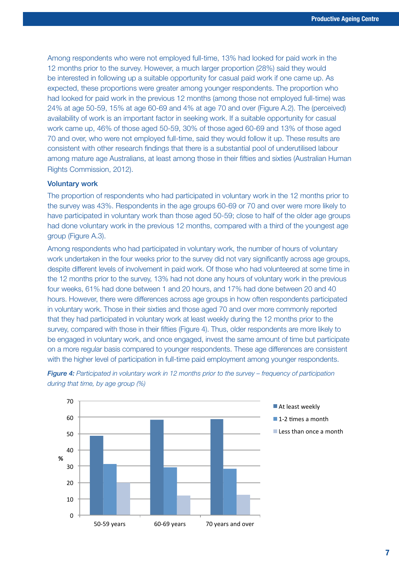Among respondents who were not employed full-time, 13% had looked for paid work in the 12 months prior to the survey. However, a much larger proportion (28%) said they would be interested in following up a suitable opportunity for casual paid work if one came up. As expected, these proportions were greater among younger respondents. The proportion who had looked for paid work in the previous 12 months (among those not employed full-time) was 24% at age 50-59, 15% at age 60-69 and 4% at age 70 and over (Figure A.2). The (perceived) availability of work is an important factor in seeking work. If a suitable opportunity for casual work came up, 46% of those aged 50-59, 30% of those aged 60-69 and 13% of those aged 70 and over, who were not employed full-time, said they would follow it up. These results are consistent with other research findings that there is a substantial pool of underutilised labour among mature age Australians, at least among those in their fifties and sixties (Australian Human Rights Commission, 2012).

#### Voluntary work

The proportion of respondents who had participated in voluntary work in the 12 months prior to the survey was 43%. Respondents in the age groups 60-69 or 70 and over were more likely to have participated in voluntary work than those aged 50-59; close to half of the older age groups had done voluntary work in the previous 12 months, compared with a third of the youngest age group (Figure A.3).

Among respondents who had participated in voluntary work, the number of hours of voluntary work undertaken in the four weeks prior to the survey did not vary significantly across age groups, despite different levels of involvement in paid work. Of those who had volunteered at some time in the 12 months prior to the survey, 13% had not done any hours of voluntary work in the previous four weeks, 61% had done between 1 and 20 hours, and 17% had done between 20 and 40 hours. However, there were differences across age groups in how often respondents participated in voluntary work. Those in their sixties and those aged 70 and over more commonly reported that they had participated in voluntary work at least weekly during the 12 months prior to the survey, compared with those in their fifties (Figure 4). Thus, older respondents are more likely to be engaged in voluntary work, and once engaged, invest the same amount of time but participate on a more regular basis compared to younger respondents. These age differences are consistent with the higher level of participation in full-time paid employment among younger respondents.



*Figure 4: Participated in voluntary work in 12 months prior to the survey – frequency of participation during that time, by age group (%)*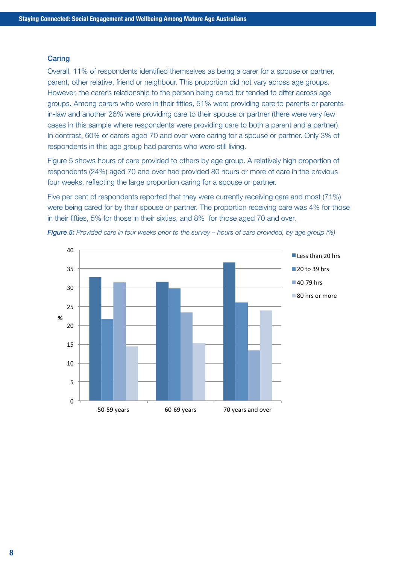#### **Caring**

Overall, 11% of respondents identified themselves as being a carer for a spouse or partner, parent, other relative, friend or neighbour. This proportion did not vary across age groups. However, the carer's relationship to the person being cared for tended to differ across age groups. Among carers who were in their fifties, 51% were providing care to parents or parentsin-law and another 26% were providing care to their spouse or partner (there were very few cases in this sample where respondents were providing care to both a parent and a partner). In contrast, 60% of carers aged 70 and over were caring for a spouse or partner. Only 3% of respondents in this age group had parents who were still living.

Figure 5 shows hours of care provided to others by age group. A relatively high proportion of respondents (24%) aged 70 and over had provided 80 hours or more of care in the previous four weeks, reflecting the large proportion caring for a spouse or partner.

Five per cent of respondents reported that they were currently receiving care and most (71%) were being cared for by their spouse or partner. The proportion receiving care was 4% for those in their fifties, 5% for those in their sixties, and 8% for those aged 70 and over.



*Figure 5: Provided care in four weeks prior to the survey – hours of care provided, by age group (%)*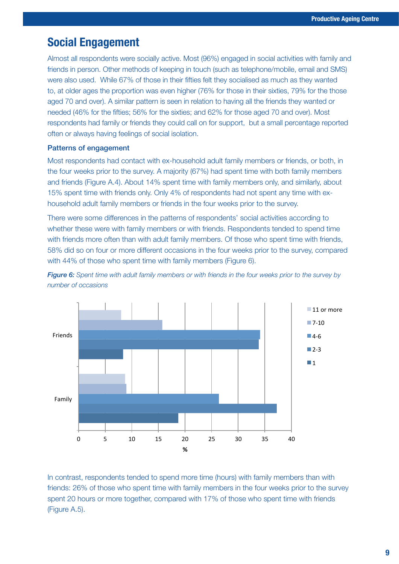## Social Engagement

Almost all respondents were socially active. Most (96%) engaged in social activities with family and friends in person. Other methods of keeping in touch (such as telephone/mobile, email and SMS) were also used. While 67% of those in their fifties felt they socialised as much as they wanted to, at older ages the proportion was even higher (76% for those in their sixties, 79% for the those aged 70 and over). A similar pattern is seen in relation to having all the friends they wanted or needed (46% for the fifties; 56% for the sixties; and 62% for those aged 70 and over). Most respondents had family or friends they could call on for support, but a small percentage reported often or always having feelings of social isolation.

#### Patterns of engagement

Most respondents had contact with ex-household adult family members or friends, or both, in the four weeks prior to the survey. A majority (67%) had spent time with both family members and friends (Figure A.4). About 14% spent time with family members only, and similarly, about 15% spent time with friends only. Only 4% of respondents had not spent any time with exhousehold adult family members or friends in the four weeks prior to the survey.

There were some differences in the patterns of respondents' social activities according to whether these were with family members or with friends. Respondents tended to spend time with friends more often than with adult family members. Of those who spent time with friends, 58% did so on four or more different occasions in the four weeks prior to the survey, compared with 44% of those who spent time with family members (Figure 6).



*Figure 6: Spent time with adult family members or with friends in the four weeks prior to the survey by number of occasions*

In contrast, respondents tended to spend more time (hours) with family members than with friends: 26% of those who spent time with family members in the four weeks prior to the survey spent 20 hours or more together, compared with 17% of those who spent time with friends (Figure A.5).

**%**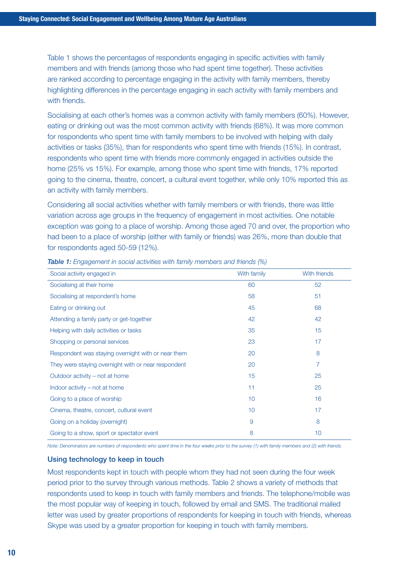Table 1 shows the percentages of respondents engaging in specific activities with family members and with friends (among those who had spent time together). These activities are ranked according to percentage engaging in the activity with family members, thereby highlighting differences in the percentage engaging in each activity with family members and with friends.

Socialising at each other's homes was a common activity with family members (60%). However, eating or drinking out was the most common activity with friends (68%). It was more common for respondents who spent time with family members to be involved with helping with daily activities or tasks (35%), than for respondents who spent time with friends (15%). In contrast, respondents who spent time with friends more commonly engaged in activities outside the home (25% vs 15%). For example, among those who spent time with friends, 17% reported going to the cinema, theatre, concert, a cultural event together, while only 10% reported this as an activity with family members.

Considering all social activities whether with family members or with friends, there was little variation across age groups in the frequency of engagement in most activities. One notable exception was going to a place of worship. Among those aged 70 and over, the proportion who had been to a place of worship (either with family or friends) was 26%, more than double that for respondents aged 50-59 (12%).

| Social activity engaged in                          | With family | With friends   |
|-----------------------------------------------------|-------------|----------------|
| Socialising at their home                           | 60          | 52             |
| Socialising at respondent's home                    | 58          | 51             |
| Eating or drinking out                              | 45          | 68             |
| Attending a family party or get-together            | 42          | 42             |
| Helping with daily activities or tasks              | 35          | 15             |
| Shopping or personal services                       | 23          | 17             |
| Respondent was staying overnight with or near them  | 20          | 8              |
| They were staying overnight with or near respondent | 20          | $\overline{7}$ |
| Outdoor activity – not at home                      | 15          | 25             |
| Indoor activity – not at home                       | 11          | 25             |
| Going to a place of worship                         | 10          | 16             |
| Cinema, theatre, concert, cultural event            | 10          | 17             |
| Going on a holiday (overnight)                      | 9           | 8              |
| Going to a show, sport or spectator event           | 8           | 10             |

*Table 1: Engagement in social activities with family members and friends (%)*

*Note: Denominators are numbers of respondents who spent time in the four weeks prior to the survey (1) with family members and (2) with friends.* 

#### Using technology to keep in touch

Most respondents kept in touch with people whom they had not seen during the four week period prior to the survey through various methods. Table 2 shows a variety of methods that respondents used to keep in touch with family members and friends. The telephone/mobile was the most popular way of keeping in touch, followed by email and SMS. The traditional mailed letter was used by greater proportions of respondents for keeping in touch with friends, whereas Skype was used by a greater proportion for keeping in touch with family members.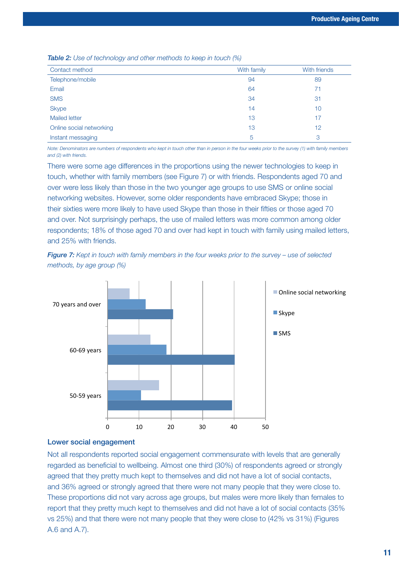*Table 2: Use of technology and other methods to keep in touch (%)*

| Contact method           | With family | With friends |
|--------------------------|-------------|--------------|
| Telephone/mobile         | 94          | 89           |
| Email                    | 64          | 71           |
| <b>SMS</b>               | 34          | 31           |
| <b>Skype</b>             | 14          | 10           |
| <b>Mailed letter</b>     | 13          | 17           |
| Online social networking | 13          | 12           |
| Instant messaging        | 5           | 3            |

*Note: Denominators are numbers of respondents who kept in touch other than in person in the four weeks prior to the survey (1) with family members and (2) with friends.* 

There were some age differences in the proportions using the newer technologies to keep in touch, whether with family members (see Figure 7) or with friends. Respondents aged 70 and over were less likely than those in the two younger age groups to use SMS or online social networking websites. However, some older respondents have embraced Skype; those in their sixties were more likely to have used Skype than those in their fifties or those aged 70 and over. Not surprisingly perhaps, the use of mailed letters was more common among older respondents; 18% of those aged 70 and over had kept in touch with family using mailed letters, and 25% with friends.





#### Lower social engagement

Not all respondents reported social engagement commensurate with levels that are generally regarded as beneficial to wellbeing. Almost one third (30%) of respondents agreed or strongly agreed that they pretty much kept to themselves and did not have a lot of social contacts, and 36% agreed or strongly agreed that there were not many people that they were close to. These proportions did not vary across age groups, but males were more likely than females to report that they pretty much kept to themselves and did not have a lot of social contacts (35% vs 25%) and that there were not many people that they were close to (42% vs 31%) (Figures A.6 and A.7).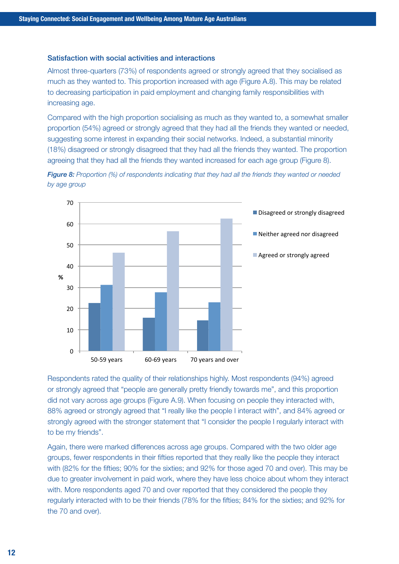#### Satisfaction with social activities and interactions

Almost three-quarters (73%) of respondents agreed or strongly agreed that they socialised as much as they wanted to. This proportion increased with age (Figure A.8). This may be related to decreasing participation in paid employment and changing family responsibilities with increasing age.

Compared with the high proportion socialising as much as they wanted to, a somewhat smaller proportion (54%) agreed or strongly agreed that they had all the friends they wanted or needed, suggesting some interest in expanding their social networks. Indeed, a substantial minority (18%) disagreed or strongly disagreed that they had all the friends they wanted. The proportion agreeing that they had all the friends they wanted increased for each age group (Figure 8).



*Figure 8: Proportion (%) of respondents indicating that they had all the friends they wanted or needed by age group*

Respondents rated the quality of their relationships highly. Most respondents (94%) agreed or strongly agreed that "people are generally pretty friendly towards me", and this proportion did not vary across age groups (Figure A.9). When focusing on people they interacted with, 88% agreed or strongly agreed that "I really like the people I interact with", and 84% agreed or strongly agreed with the stronger statement that "I consider the people I regularly interact with to be my friends".

Again, there were marked differences across age groups. Compared with the two older age groups, fewer respondents in their fifties reported that they really like the people they interact with (82% for the fifties; 90% for the sixties; and 92% for those aged 70 and over). This may be due to greater involvement in paid work, where they have less choice about whom they interact with. More respondents aged 70 and over reported that they considered the people they regularly interacted with to be their friends (78% for the fifties; 84% for the sixties; and 92% for the 70 and over).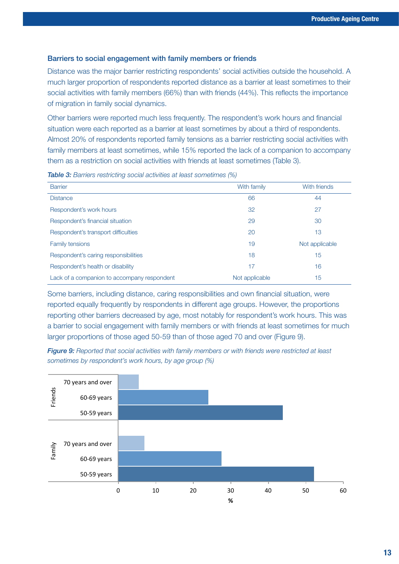#### Barriers to social engagement with family members or friends

Distance was the major barrier restricting respondents' social activities outside the household. A much larger proportion of respondents reported distance as a barrier at least sometimes to their social activities with family members (66%) than with friends (44%). This reflects the importance of migration in family social dynamics.

Other barriers were reported much less frequently. The respondent's work hours and financial situation were each reported as a barrier at least sometimes by about a third of respondents. Almost 20% of respondents reported family tensions as a barrier restricting social activities with family members at least sometimes, while 15% reported the lack of a companion to accompany them as a restriction on social activities with friends at least sometimes (Table 3).

| <b>Barrier</b>                              | With family    | With friends   |
|---------------------------------------------|----------------|----------------|
| <b>Distance</b>                             | 66             | 44             |
| Respondent's work hours                     | 32             | 27             |
| Respondent's financial situation            | 29             | 30             |
| Respondent's transport difficulties         | 20             | 13             |
| <b>Family tensions</b>                      | 19             | Not applicable |
| Respondent's caring responsibilities        | 18             | 15             |
| Respondent's health or disability           | 17             | 16             |
| Lack of a companion to accompany respondent | Not applicable | 15             |

*Table 3: Barriers restricting social activities at least sometimes (%)*

Some barriers, including distance, caring responsibilities and own financial situation, were reported equally frequently by respondents in different age groups. However, the proportions reporting other barriers decreased by age, most notably for respondent's work hours. This was a barrier to social engagement with family members or with friends at least sometimes for much larger proportions of those aged 50-59 than of those aged 70 and over (Figure 9).

*Figure 9: Reported that social activities with family members or with friends were restricted at least sometimes by respondent's work hours, by age group (%)*

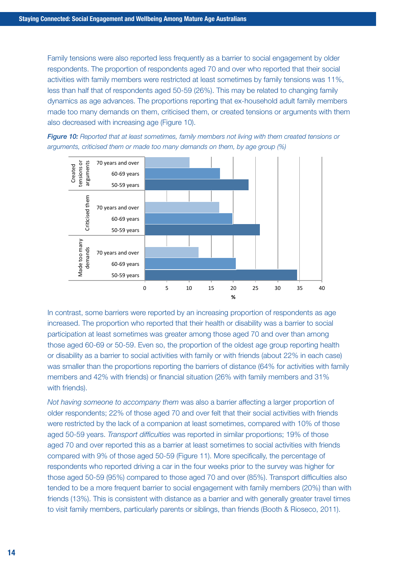Family tensions were also reported less frequently as a barrier to social engagement by older respondents. The proportion of respondents aged 70 and over who reported that their social activities with family members were restricted at least sometimes by family tensions was 11%, less than half that of respondents aged 50-59 (26%). This may be related to changing family dynamics as age advances. The proportions reporting that ex-household adult family members made too many demands on them, criticised them, or created tensions or arguments with them also decreased with increasing age (Figure 10).





In contrast, some barriers were reported by an increasing proportion of respondents as age increased. The proportion who reported that their health or disability was a barrier to social participation at least sometimes was greater among those aged 70 and over than among those aged 60-69 or 50-59. Even so, the proportion of the oldest age group reporting health or disability as a barrier to social activities with family or with friends (about 22% in each case) was smaller than the proportions reporting the barriers of distance (64% for activities with family members and 42% with friends) or financial situation (26% with family members and 31% with friends).

*Not having someone to accompany them* was also a barrier affecting a larger proportion of older respondents; 22% of those aged 70 and over felt that their social activities with friends were restricted by the lack of a companion at least sometimes, compared with 10% of those aged 50-59 years. *Transport difficulties* was reported in similar proportions; 19% of those aged 70 and over reported this as a barrier at least sometimes to social activities with friends compared with 9% of those aged 50-59 (Figure 11). More specifically, the percentage of respondents who reported driving a car in the four weeks prior to the survey was higher for those aged 50-59 (95%) compared to those aged 70 and over (85%). Transport difficulties also tended to be a more frequent barrier to social engagement with family members (20%) than with friends (13%). This is consistent with distance as a barrier and with generally greater travel times to visit family members, particularly parents or siblings, than friends (Booth & Rioseco, 2011).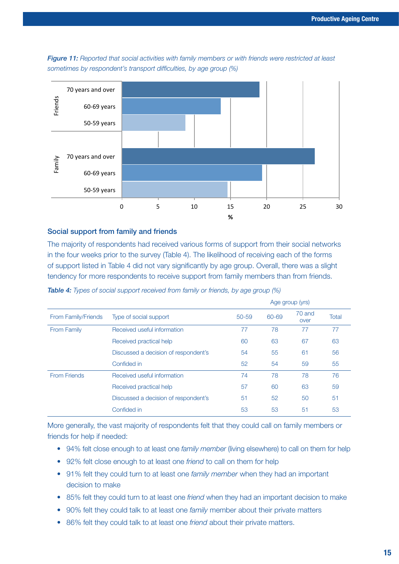*sometimes by respondent's transport difficulties, by age group (%)* 60-69 years 70 years and over





#### Social support from family and friends

The majority of respondents had received various forms of support from their social networks in the four weeks prior to the survey (Table 4). The likelihood of receiving each of the forms of support listed in Table 4 did not vary significantly by age group. Overall, there was a slight tendency for more respondents to receive support from family members than from friends.

| From Family/Friends | Type of social support               | Age group (yrs) |       |                |       |
|---------------------|--------------------------------------|-----------------|-------|----------------|-------|
|                     |                                      | 50-59           | 60-69 | 70 and<br>over | Total |
| <b>From Family</b>  | Received useful information          | 77              | 78    | 77             | 77    |
|                     | Received practical help              | 60              | 63    | 67             | 63    |
|                     | Discussed a decision of respondent's | 54              | 55    | 61             | 56    |
|                     | Confided in                          | 52              | 54    | 59             | 55    |
| <b>From Friends</b> | Received useful information          | 74              | 78    | 78             | 76    |
|                     | Received practical help              | 57              | 60    | 63             | 59    |
|                     | Discussed a decision of respondent's | 51              | 52    | 50             | 51    |
|                     | Confided in                          | 53              | 53    | 51             | 53    |

*Table 4: Types of social support received from family or friends, by age group (%)*

More generally, the vast majority of respondents felt that they could call on family members or friends for help if needed:

- 94% felt close enough to at least one *family member* (living elsewhere) to call on them for help
- • 92% felt close enough to at least one *friend* to call on them for help
- 91% felt they could turn to at least one *family member* when they had an important decision to make
- 85% felt they could turn to at least one *friend* when they had an important decision to make
- 90% felt they could talk to at least one *family* member about their private matters
- 86% felt they could talk to at least one *friend* about their private matters.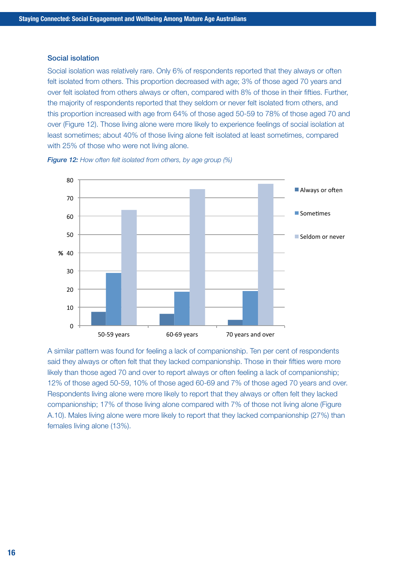#### Social isolation

Social isolation was relatively rare. Only 6% of respondents reported that they always or often felt isolated from others. This proportion decreased with age; 3% of those aged 70 years and over felt isolated from others always or often, compared with 8% of those in their fifties. Further, the majority of respondents reported that they seldom or never felt isolated from others, and this proportion increased with age from 64% of those aged 50-59 to 78% of those aged 70 and over (Figure 12). Those living alone were more likely to experience feelings of social isolation at least sometimes; about 40% of those living alone felt isolated at least sometimes, compared with 25% of those who were not living alone.





A similar pattern was found for feeling a lack of companionship. Ten per cent of respondents said they always or often felt that they lacked companionship. Those in their fifties were more likely than those aged 70 and over to report always or often feeling a lack of companionship; 12% of those aged 50-59, 10% of those aged 60-69 and 7% of those aged 70 years and over. Respondents living alone were more likely to report that they always or often felt they lacked companionship; 17% of those living alone compared with 7% of those not living alone (Figure A.10). Males living alone were more likely to report that they lacked companionship (27%) than females living alone (13%).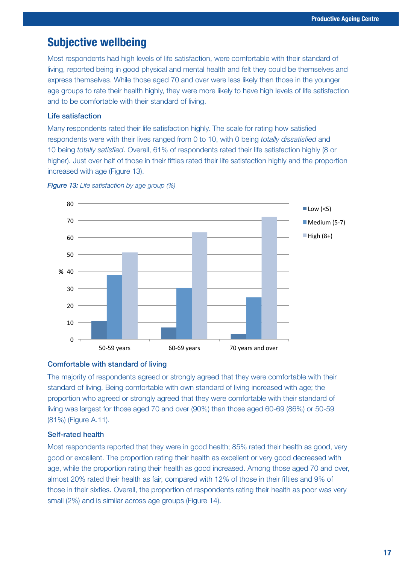## Subjective wellbeing

Most respondents had high levels of life satisfaction, were comfortable with their standard of living, reported being in good physical and mental health and felt they could be themselves and express themselves. While those aged 70 and over were less likely than those in the younger age groups to rate their health highly, they were more likely to have high levels of life satisfaction and to be comfortable with their standard of living.

#### Life satisfaction

Many respondents rated their life satisfaction highly. The scale for rating how satisfied respondents were with their lives ranged from 0 to 10, with 0 being *totally dissatisfied* and 10 being *totally satisfied*. Overall, 61% of respondents rated their life satisfaction highly (8 or higher). Just over half of those in their fifties rated their life satisfaction highly and the proportion increased with age (Figure 13).



*Figure 13: Life satisfaction by age group (%)*

#### Comfortable with standard of living

The majority of respondents agreed or strongly agreed that they were comfortable with their standard of living. Being comfortable with own standard of living increased with age; the proportion who agreed or strongly agreed that they were comfortable with their standard of living was largest for those aged 70 and over (90%) than those aged 60-69 (86%) or 50-59 (81%) (Figure A.11).

#### Self-rated health

Most respondents reported that they were in good health; 85% rated their health as good, very good or excellent. The proportion rating their health as excellent or very good decreased with age, while the proportion rating their health as good increased. Among those aged 70 and over, almost 20% rated their health as fair, compared with 12% of those in their fifties and 9% of those in their sixties. Overall, the proportion of respondents rating their health as poor was very small (2%) and is similar across age groups (Figure 14).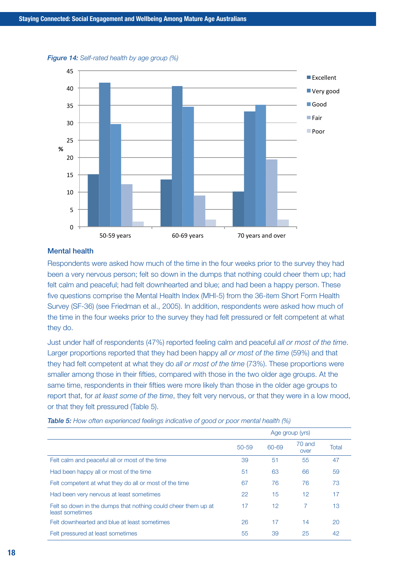



#### Mental health

Respondents were asked how much of the time in the four weeks prior to the survey they had been a very nervous person; felt so down in the dumps that nothing could cheer them up; had felt calm and peaceful; had felt downhearted and blue; and had been a happy person. These five questions comprise the Mental Health Index (MHI-5) from the 36-item Short Form Health Survey (SF-36) (see Friedman et al., 2005). In addition, respondents were asked how much of the time in the four weeks prior to the survey they had felt pressured or felt competent at what they do.

Just under half of respondents (47%) reported feeling calm and peaceful *all or most of the time*. Larger proportions reported that they had been happy *all or most of the time* (59%) and that they had felt competent at what they do *all or most of the time* (73%). These proportions were smaller among those in their fifties, compared with those in the two older age groups. At the same time, respondents in their fifties were more likely than those in the older age groups to report that, for *at least some of the time*, they felt very nervous, or that they were in a low mood, or that they felt pressured (Table 5).

|                                                                                  | Age group (yrs) |       |                |       |
|----------------------------------------------------------------------------------|-----------------|-------|----------------|-------|
|                                                                                  | $50 - 59$       | 60-69 | 70 and<br>over | Total |
| Felt calm and peaceful all or most of the time                                   | 39              | 51    | 55             | 47    |
| Had been happy all or most of the time                                           | 51              | 63    | 66             | 59    |
| Felt competent at what they do all or most of the time                           | 67              | 76    | 76             | 73    |
| Had been very nervous at least sometimes                                         | 22              | 15    | 12             | 17    |
| Felt so down in the dumps that nothing could cheer them up at<br>least sometimes | 17              | 12    | 7              | 13    |
| Felt downhearted and blue at least sometimes                                     | 26              | 17    | 14             | 20    |
| Felt pressured at least sometimes                                                | 55              | 39    | 25             | 42    |

*Table 5: How often experienced feelings indicative of good or poor mental health (%)*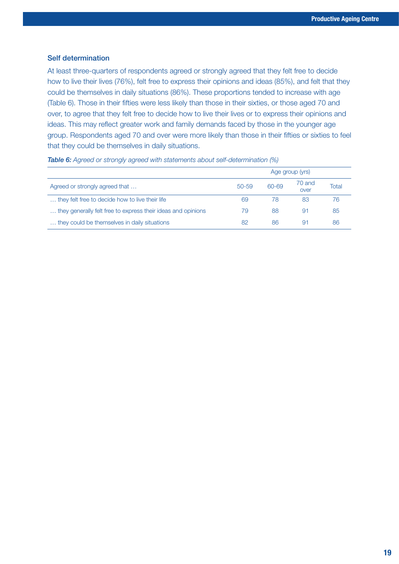#### Self determination

At least three-quarters of respondents agreed or strongly agreed that they felt free to decide how to live their lives (76%), felt free to express their opinions and ideas (85%), and felt that they could be themselves in daily situations (86%). These proportions tended to increase with age (Table 6). Those in their fifties were less likely than those in their sixties, or those aged 70 and over, to agree that they felt free to decide how to live their lives or to express their opinions and ideas. This may reflect greater work and family demands faced by those in the younger age group. Respondents aged 70 and over were more likely than those in their fifties or sixties to feel that they could be themselves in daily situations.

|                                                              | Age group (yrs) |       |                |       |
|--------------------------------------------------------------|-----------------|-------|----------------|-------|
| Agreed or strongly agreed that                               | $50 - 59$       | 60-69 | 70 and<br>over | Total |
| they felt free to decide how to live their life.             | 69              | 78    | 83             | 76    |
| they generally felt free to express their ideas and opinions | 79              | 88    | 91             | 85    |
| they could be themselves in daily situations                 | 82              | 86    | 91             | 86    |

#### *Table 6: Agreed or strongly agreed with statements about self-determination (%)*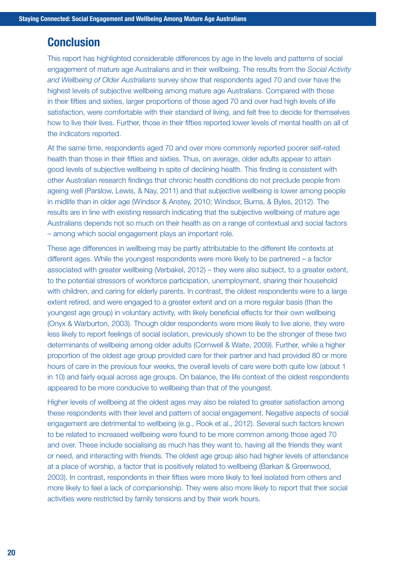## **Conclusion**

This report has highlighted considerable differences by age in the levels and patterns of social engagement of mature age Australians and in their wellbeing. The results from the *Social Activity and Wellbeing of Older Australians* survey show that respondents aged 70 and over have the highest levels of subjective wellbeing among mature age Australians. Compared with those in their fifties and sixties, larger proportions of those aged 70 and over had high levels of life satisfaction, were comfortable with their standard of living, and felt free to decide for themselves how to live their lives. Further, those in their fifties reported lower levels of mental health on all of the indicators reported.

At the same time, respondents aged 70 and over more commonly reported poorer self-rated health than those in their fifties and sixties. Thus, on average, older adults appear to attain good levels of subjective wellbeing in spite of declining health. This finding is consistent with other Australian research findings that chronic health conditions do not preclude people from ageing well (Parslow, Lewis, & Nay, 2011) and that subjective wellbeing is lower among people in midlife than in older age (Windsor & Anstey, 2010; Windsor, Burns, & Byles, 2012). The results are in line with existing research indicating that the subjective wellbeing of mature age Australians depends not so much on their health as on a range of contextual and social factors – among which social engagement plays an important role.

These age differences in wellbeing may be partly attributable to the different life contexts at different ages. While the youngest respondents were more likely to be partnered – a factor associated with greater wellbeing (Verbakel, 2012) – they were also subject, to a greater extent, to the potential stressors of workforce participation, unemployment, sharing their household with children, and caring for elderly parents. In contrast, the oldest respondents were to a large extent retired, and were engaged to a greater extent and on a more regular basis (than the youngest age group) in voluntary activity, with likely beneficial effects for their own wellbeing (Onyx & Warburton, 2003). Though older respondents were more likely to live alone, they were less likely to report feelings of social isolation, previously shown to be the stronger of these two determinants of wellbeing among older adults (Cornwell & Waite, 2009). Further, while a higher proportion of the oldest age group provided care for their partner and had provided 80 or more hours of care in the previous four weeks, the overall levels of care were both quite low (about 1 in 10) and fairly equal across age groups. On balance, the life context of the oldest respondents appeared to be more conducive to wellbeing than that of the youngest.

Higher levels of wellbeing at the oldest ages may also be related to greater satisfaction among these respondents with their level and pattern of social engagement. Negative aspects of social engagement are detrimental to wellbeing (e.g., Rook et al., 2012). Several such factors known to be related to increased wellbeing were found to be more common among those aged 70 and over. These include socialising as much has they want to, having all the friends they want or need, and interacting with friends. The oldest age group also had higher levels of attendance at a place of worship, a factor that is positively related to wellbeing (Barkan & Greenwood, 2003). In contrast, respondents in their fifties were more likely to feel isolated from others and more likely to feel a lack of companionship. They were also more likely to report that their social activities were restricted by family tensions and by their work hours.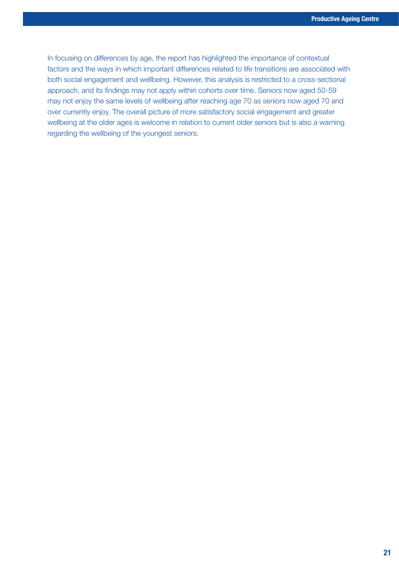In focusing on differences by age, the report has highlighted the importance of contextual factors and the ways in which important differences related to life transitions are associated with both social engagement and wellbeing. However, this analysis is restricted to a cross-sectional approach, and its findings may not apply within cohorts over time. Seniors now aged 50-59 may not enjoy the same levels of wellbeing after reaching age 70 as seniors now aged 70 and over currently enjoy. The overall picture of more satisfactory social engagement and greater wellbeing at the older ages is welcome in relation to current older seniors but is also a warning regarding the wellbeing of the youngest seniors.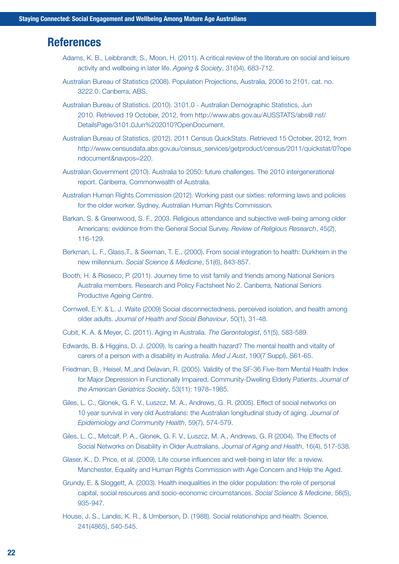## **References**

- Adams, K. B., Leibbrandt, S., Moon, H. (2011). A critical review of the literature on social and leisure activity and wellbeing in later life. *Ageing & Society*, 31(04), 683-712.
- Australian Bureau of Statistics (2008). Population Projections, Australia, 2006 to 2101, cat. no. 3222.0. Canberra, ABS.
- Australian Bureau of Statistics. (2010). 3101.0 Australian Demographic Statistics, Jun 2010. Retrieved 19 October, 2012, from http://www.abs.gov.au/AUSSTATS/abs@.nsf/ DetailsPage/3101.0Jun%202010?OpenDocument.
- Australian Bureau of Statistics. (2012). 2011 Census QuickStats. Retrieved 15 October, 2012, from http://www.censusdata.abs.gov.au/census\_services/getproduct/census/2011/quickstat/0?ope ndocument&navpos=220.
- Australian Government (2010). Australia to 2050: future challenges. The 2010 intergenerational report. Canberra, Commonwealth of Australia.
- Australian Human Rights Commission (2012). Working past our sixties: reforming laws and policies for the older worker. Sydney, Australian Human Rights Commission.
- Barkan, S. & Greenwood, S. F., 2003. Religious attendance and subjective well-being among older Americans: evidence from the General Social Survey. *Review of Religious Research*, 45(2), 116-129.
- Berkman, L. F., Glass,T., & Seeman, T. E., (2000). From social integration to health: Durkheim in the new millennium. *Social Science & Medicine*, 51(6), 843-857.
- Booth, H. & Rioseco, P. (2011). Journey time to visit family and friends among National Seniors Australia members. Research and Policy Factsheet No 2. Canberra, National Seniors Productive Ageing Centre.
- Cornwell, E.Y. & L. J. Waite (2009) Social disconnectedness, perceived isolation, and health among older adults. *Journal of Health and Social Behaviour*, 50(1), 31-48.
- Cubit, K. A. & Meyer, C. (2011). Aging in Australia. *The Gerontologist*, 51(5), 583-589.
- Edwards, B. & Higgins, D. J. (2009). Is caring a health hazard? The mental health and vitality of carers of a person with a disability in Australia. *Med J Aust*, 190(7 Suppl), S61-65.
- Friedman, B., Heisel, M.,and Delavan, R. (2005). Validity of the SF-36 Five-Item Mental Health Index for Major Depression in Functionally Impaired, Community-Dwelling Elderly Patients. *Journal of the American Geriatrics Society*, 53(11): 1978–1985.
- Giles, L. C., Glonek, G. F. V., Luszcz, M. A., Andrews, G. R. (2005). Effect of social networks on 10 year survival in very old Australians: the Australian longitudinal study of aging. *Journal of Epidemiology and Community Health*, 59(7), 574-579.
- Giles, L. C., Metcalf, P. A., Glonek, G. F. V., Luszcz, M. A., Andrews, G. R (2004). The Effects of Social Networks on Disability in Older Australians. *Journal of Aging and Health*, 16(4), 517-538.
- Glaser, K., D. Price, et al. (2009). Life course influences and well-being in later life: a review. Manchester, Equality and Human Rights Commission with Age Concern and Help the Aged.
- Grundy, E. & Sloggett, A. (2003). Health inequalities in the older population: the role of personal capital, social resources and socio-economic circumstances. *Social Science & Medicine*, 56(5), 935-947.
- House, J. S., Landis, K. R., & Umberson, D. (1988). Social relationships and health. Science, 241(4865), 540-545.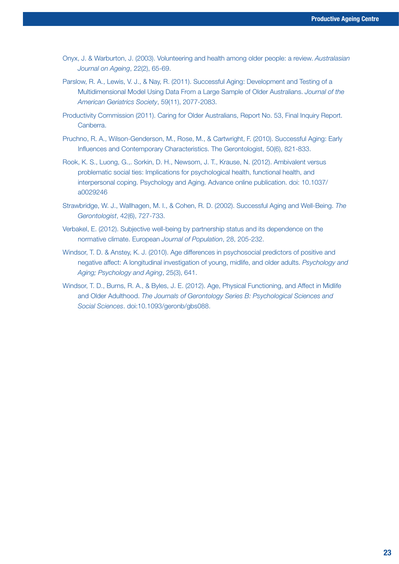- Onyx, J. & Warburton, J. (2003). Volunteering and health among older people: a review. *Australasian Journal on Ageing*, 22(2), 65-69.
- Parslow, R. A., Lewis, V. J., & Nay, R. (2011). Successful Aging: Development and Testing of a Multidimensional Model Using Data From a Large Sample of Older Australians. *Journal of the American Geriatrics Society*, 59(11), 2077-2083.
- Productivity Commission (2011). Caring for Older Australians, Report No. 53, Final Inquiry Report. Canberra.
- Pruchno, R. A., Wilson-Genderson, M., Rose, M., & Cartwright, F. (2010). Successful Aging: Early Influences and Contemporary Characteristics. The Gerontologist, 50(6), 821-833.
- Rook, K. S., Luong, G.,. Sorkin, D. H., Newsom, J. T., Krause, N. (2012). Ambivalent versus problematic social ties: Implications for psychological health, functional health, and interpersonal coping. Psychology and Aging. Advance online publication. doi: 10.1037/ a0029246
- Strawbridge, W. J., Wallhagen, M. I., & Cohen, R. D. (2002). Successful Aging and Well-Being. *The Gerontologist*, 42(6), 727-733.
- Verbakel, E. (2012). Subjective well-being by partnership status and its dependence on the normative climate. European *Journal of Population*, 28, 205-232.
- Windsor, T. D. & Anstey, K. J. (2010). Age differences in psychosocial predictors of positive and negative affect: A longitudinal investigation of young, midlife, and older adults. *Psychology and Aging; Psychology and Aging*, 25(3), 641.
- Windsor, T. D., Burns, R. A., & Byles, J. E. (2012). Age, Physical Functioning, and Affect in Midlife and Older Adulthood. *The Journals of Gerontology Series B: Psychological Sciences and Social Sciences*. doi:10.1093/geronb/gbs088.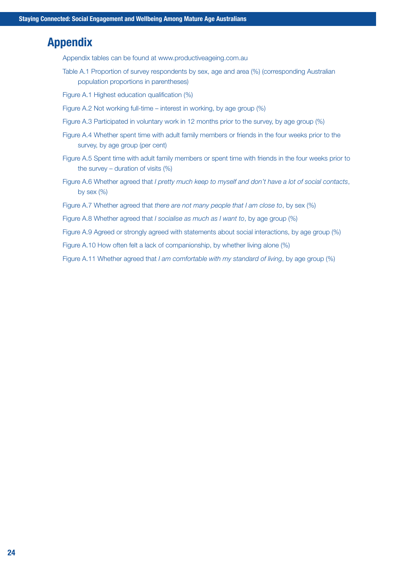## Appendix

Appendix tables can be found at www.productiveageing.com.au

- Table A.1 Proportion of survey respondents by sex, age and area (%) (corresponding Australian population proportions in parentheses)
- Figure A.1 Highest education qualification (%)
- Figure A.2 Not working full-time interest in working, by age group (%)
- Figure A.3 Participated in voluntary work in 12 months prior to the survey, by age group (%)
- Figure A.4 Whether spent time with adult family members or friends in the four weeks prior to the survey, by age group (per cent)
- Figure A.5 Spent time with adult family members or spent time with friends in the four weeks prior to the survey – duration of visits  $(\%)$
- Figure A.6 Whether agreed that *I pretty much keep to myself and don't have a lot of social contacts*, by sex  $(\%)$
- Figure A.7 Whether agreed that *there are not many people that I am close to*, by sex (%)
- Figure A.8 Whether agreed that *I socialise as much as I want to*, by age group (%)
- Figure A.9 Agreed or strongly agreed with statements about social interactions, by age group (%)
- Figure A.10 How often felt a lack of companionship, by whether living alone (%)

Figure A.11 Whether agreed that *I am comfortable with my standard of living*, by age group (%)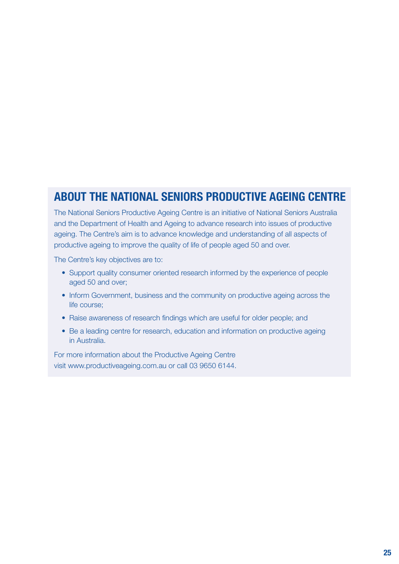## ABOUT THE NATIONAL SENIORS PRODUCTIVE AGEING CENTRE

The National Seniors Productive Ageing Centre is an initiative of National Seniors Australia and the Department of Health and Ageing to advance research into issues of productive ageing. The Centre's aim is to advance knowledge and understanding of all aspects of productive ageing to improve the quality of life of people aged 50 and over.

The Centre's key objectives are to:

- Support quality consumer oriented research informed by the experience of people aged 50 and over;
- Inform Government, business and the community on productive ageing across the life course;
- Raise awareness of research findings which are useful for older people; and
- Be a leading centre for research, education and information on productive ageing in Australia.

For more information about the Productive Ageing Centre visit www.productiveageing.com.au or call 03 9650 6144.